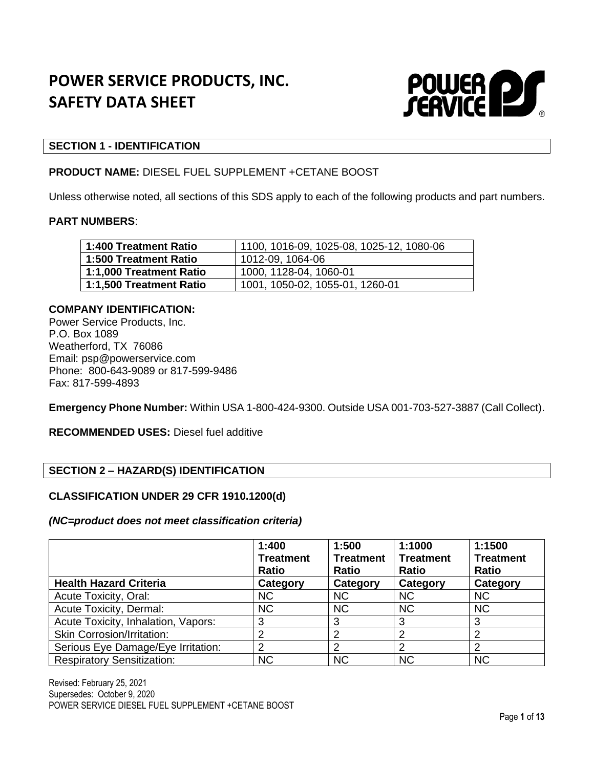# **POWER SERVICE PRODUCTS, INC. SAFETY DATA SHEET**



#### **SECTION 1 - IDENTIFICATION**

#### **PRODUCT NAME:** DIESEL FUEL SUPPLEMENT +CETANE BOOST

Unless otherwise noted, all sections of this SDS apply to each of the following products and part numbers.

#### **PART NUMBERS**:

| 1:400 Treatment Ratio   | 1100, 1016-09, 1025-08, 1025-12, 1080-06 |
|-------------------------|------------------------------------------|
| 1:500 Treatment Ratio   | 1012-09, 1064-06                         |
| 1:1,000 Treatment Ratio | 1000, 1128-04, 1060-01                   |
| 1:1,500 Treatment Ratio | 1001, 1050-02, 1055-01, 1260-01          |

#### **COMPANY IDENTIFICATION:**

Power Service Products, Inc. P.O. Box 1089 Weatherford, TX 76086 Email: psp@powerservice.com Phone: 800-643-9089 or 817-599-9486 Fax: 817-599-4893

**Emergency Phone Number:** Within USA 1-800-424-9300. Outside USA 001-703-527-3887 (Call Collect).

**RECOMMENDED USES:** Diesel fuel additive

# **SECTION 2 – HAZARD(S) IDENTIFICATION**

## **CLASSIFICATION UNDER 29 CFR 1910.1200(d)**

#### *(NC=product does not meet classification criteria)*

|                                     | 1:400<br><b>Treatment</b><br><b>Ratio</b> | 1:500<br><b>Treatment</b><br><b>Ratio</b> | 1:1000<br><b>Treatment</b><br><b>Ratio</b> | 1:1500<br><b>Treatment</b><br><b>Ratio</b> |
|-------------------------------------|-------------------------------------------|-------------------------------------------|--------------------------------------------|--------------------------------------------|
| <b>Health Hazard Criteria</b>       | Category                                  | Category                                  | Category                                   | Category                                   |
| Acute Toxicity, Oral:               | <b>NC</b>                                 | <b>NC</b>                                 | <b>NC</b>                                  | <b>NC</b>                                  |
| Acute Toxicity, Dermal:             | <b>NC</b>                                 | <b>NC</b>                                 | <b>NC</b>                                  | <b>NC</b>                                  |
| Acute Toxicity, Inhalation, Vapors: | 3                                         | 3                                         | 3                                          | 3                                          |
| <b>Skin Corrosion/Irritation:</b>   |                                           | 2                                         | 2                                          | 2                                          |
| Serious Eye Damage/Eye Irritation:  | ົ                                         | 2                                         | າ                                          | 2                                          |
| <b>Respiratory Sensitization:</b>   | <b>NC</b>                                 | <b>NC</b>                                 | <b>NC</b>                                  | <b>NC</b>                                  |

Revised: February 25, 2021 Supersedes: October 9, 2020 POWER SERVICE DIESEL FUEL SUPPLEMENT +CETANE BOOST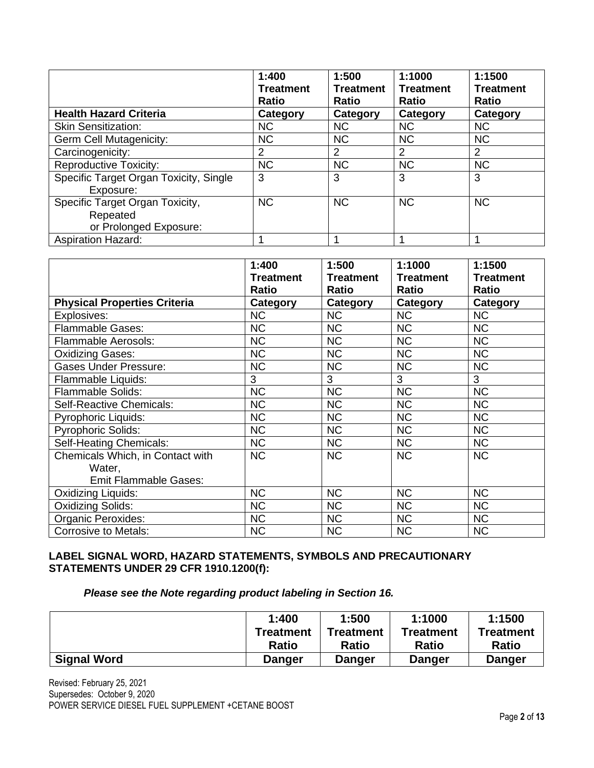|                                        | 1:400<br><b>Treatment</b><br><b>Ratio</b> | 1:500<br><b>Treatment</b><br><b>Ratio</b> | 1:1000<br><b>Treatment</b><br><b>Ratio</b> | 1:1500<br><b>Treatment</b><br><b>Ratio</b> |
|----------------------------------------|-------------------------------------------|-------------------------------------------|--------------------------------------------|--------------------------------------------|
| <b>Health Hazard Criteria</b>          | Category                                  | Category                                  | Category                                   | Category                                   |
| <b>Skin Sensitization:</b>             | <b>NC</b>                                 | <b>NC</b>                                 | <b>NC</b>                                  | <b>NC</b>                                  |
| Germ Cell Mutagenicity:                | <b>NC</b>                                 | <b>NC</b>                                 | <b>NC</b>                                  | <b>NC</b>                                  |
| Carcinogenicity:                       | $\overline{2}$                            | 2                                         | 2                                          | 2                                          |
| <b>Reproductive Toxicity:</b>          | <b>NC</b>                                 | <b>NC</b>                                 | <b>NC</b>                                  | <b>NC</b>                                  |
| Specific Target Organ Toxicity, Single | 3                                         | 3                                         | 3                                          | 3                                          |
| Exposure:                              |                                           |                                           |                                            |                                            |
| Specific Target Organ Toxicity,        | <b>NC</b>                                 | <b>NC</b>                                 | <b>NC</b>                                  | <b>NC</b>                                  |
| Repeated                               |                                           |                                           |                                            |                                            |
| or Prolonged Exposure:                 |                                           |                                           |                                            |                                            |
| <b>Aspiration Hazard:</b>              |                                           |                                           |                                            |                                            |

|                                     | 1:400            | 1:500            | 1:1000           | 1:1500           |
|-------------------------------------|------------------|------------------|------------------|------------------|
|                                     | <b>Treatment</b> | <b>Treatment</b> | <b>Treatment</b> | <b>Treatment</b> |
|                                     | <b>Ratio</b>     | <b>Ratio</b>     | Ratio            | Ratio            |
| <b>Physical Properties Criteria</b> | Category         | Category         | Category         | Category         |
| Explosives:                         | <b>NC</b>        | <b>NC</b>        | <b>NC</b>        | <b>NC</b>        |
| <b>Flammable Gases:</b>             | <b>NC</b>        | <b>NC</b>        | <b>NC</b>        | <b>NC</b>        |
| <b>Flammable Aerosols:</b>          | <b>NC</b>        | <b>NC</b>        | <b>NC</b>        | <b>NC</b>        |
| <b>Oxidizing Gases:</b>             | <b>NC</b>        | <b>NC</b>        | <b>NC</b>        | <b>NC</b>        |
| <b>Gases Under Pressure:</b>        | <b>NC</b>        | <b>NC</b>        | <b>NC</b>        | <b>NC</b>        |
| Flammable Liquids:                  | 3                | 3                | 3                | 3                |
| <b>Flammable Solids:</b>            | <b>NC</b>        | <b>NC</b>        | <b>NC</b>        | <b>NC</b>        |
| Self-Reactive Chemicals:            | <b>NC</b>        | <b>NC</b>        | <b>NC</b>        | <b>NC</b>        |
| <b>Pyrophoric Liquids:</b>          | <b>NC</b>        | <b>NC</b>        | <b>NC</b>        | <b>NC</b>        |
| <b>Pyrophoric Solids:</b>           | <b>NC</b>        | <b>NC</b>        | <b>NC</b>        | <b>NC</b>        |
| Self-Heating Chemicals:             | <b>NC</b>        | <b>NC</b>        | <b>NC</b>        | <b>NC</b>        |
| Chemicals Which, in Contact with    | <b>NC</b>        | <b>NC</b>        | <b>NC</b>        | <b>NC</b>        |
| Water,                              |                  |                  |                  |                  |
| <b>Emit Flammable Gases:</b>        |                  |                  |                  |                  |
| Oxidizing Liquids:                  | <b>NC</b>        | <b>NC</b>        | <b>NC</b>        | <b>NC</b>        |
| <b>Oxidizing Solids:</b>            | <b>NC</b>        | <b>NC</b>        | <b>NC</b>        | <b>NC</b>        |
| Organic Peroxides:                  | <b>NC</b>        | <b>NC</b>        | <b>NC</b>        | <b>NC</b>        |
| <b>Corrosive to Metals:</b>         | <b>NC</b>        | <b>NC</b>        | <b>NC</b>        | <b>NC</b>        |

# **LABEL SIGNAL WORD, HAZARD STATEMENTS, SYMBOLS AND PRECAUTIONARY STATEMENTS UNDER 29 CFR 1910.1200(f):**

# *Please see the Note regarding product labeling in Section 16.*

|                    | 1:400        | 1:500         | 1:1000       | 1:1500           |
|--------------------|--------------|---------------|--------------|------------------|
|                    | Treatment    | Treatment     | Treatment    | <b>Treatment</b> |
|                    | <b>Ratio</b> | <b>Ratio</b>  | <b>Ratio</b> | <b>Ratio</b>     |
| <b>Signal Word</b> | Danger       | <b>Danger</b> | Danger       | <b>Danger</b>    |

Revised: February 25, 2021 Supersedes: October 9, 2020 POWER SERVICE DIESEL FUEL SUPPLEMENT +CETANE BOOST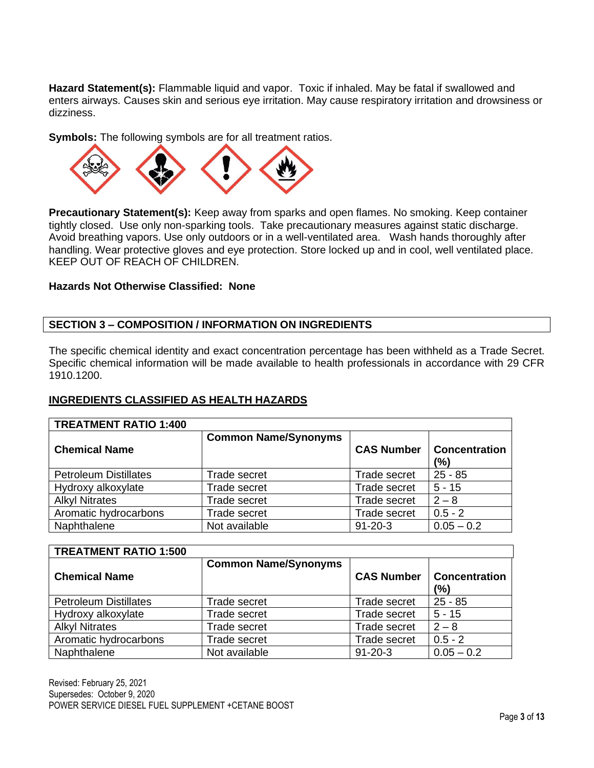**Hazard Statement(s):** Flammable liquid and vapor. Toxic if inhaled. May be fatal if swallowed and enters airways. Causes skin and serious eye irritation. May cause respiratory irritation and drowsiness or dizziness.

**Symbols:** The following symbols are for all treatment ratios.



**Precautionary Statement(s):** Keep away from sparks and open flames. No smoking. Keep container tightly closed. Use only non-sparking tools. Take precautionary measures against static discharge. Avoid breathing vapors. Use only outdoors or in a well-ventilated area. Wash hands thoroughly after handling. Wear protective gloves and eye protection. Store locked up and in cool, well ventilated place. KEEP OUT OF REACH OF CHILDREN.

#### **Hazards Not Otherwise Classified: None**

## **SECTION 3 – COMPOSITION / INFORMATION ON INGREDIENTS**

The specific chemical identity and exact concentration percentage has been withheld as a Trade Secret. Specific chemical information will be made available to health professionals in accordance with 29 CFR 1910.1200.

## **INGREDIENTS CLASSIFIED AS HEALTH HAZARDS**

| <b>TREATMENT RATIO 1:400</b> |                             |                     |                             |
|------------------------------|-----------------------------|---------------------|-----------------------------|
| <b>Chemical Name</b>         | <b>Common Name/Synonyms</b> | <b>CAS Number</b>   | <b>Concentration</b><br>(%) |
| <b>Petroleum Distillates</b> | Trade secret                | Trade secret        | $25 - 85$                   |
| Hydroxy alkoxylate           | Trade secret                | <b>Trade secret</b> | $5 - 15$                    |
| <b>Alkyl Nitrates</b>        | Trade secret                | Trade secret        | $2 - 8$                     |
| Aromatic hydrocarbons        | Trade secret                | <b>Trade secret</b> | $0.5 - 2$                   |
| Naphthalene                  | Not available               | $91 - 20 - 3$       | $0.05 - 0.2$                |

| <b>TREATMENT RATIO 1:500</b> |                             |                     |                             |
|------------------------------|-----------------------------|---------------------|-----------------------------|
| <b>Chemical Name</b>         | <b>Common Name/Synonyms</b> | <b>CAS Number</b>   | <b>Concentration</b><br>(%) |
| <b>Petroleum Distillates</b> | Trade secret                | Trade secret        | $25 - 85$                   |
| Hydroxy alkoxylate           | Trade secret                | <b>Trade secret</b> | $5 - 15$                    |
| <b>Alkyl Nitrates</b>        | Trade secret                | <b>Trade secret</b> | $2 - 8$                     |
| Aromatic hydrocarbons        | <b>Trade secret</b>         | Trade secret        | $0.5 - 2$                   |
| Naphthalene                  | Not available               | $91 - 20 - 3$       | $0.05 - 0.2$                |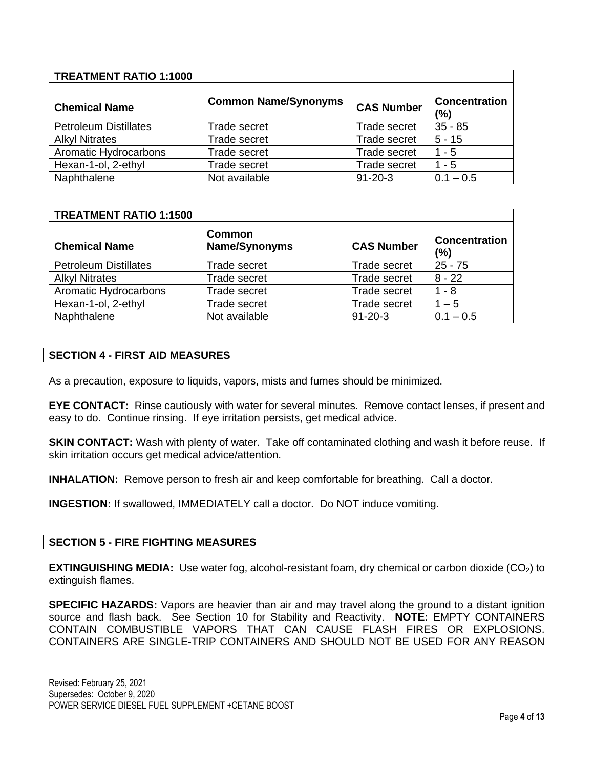| <b>TREATMENT RATIO 1:1000</b> |                             |                     |                      |  |  |  |  |
|-------------------------------|-----------------------------|---------------------|----------------------|--|--|--|--|
| <b>Chemical Name</b>          | <b>Common Name/Synonyms</b> | <b>CAS Number</b>   | Concentration<br>(%) |  |  |  |  |
| <b>Petroleum Distillates</b>  | Trade secret                | Trade secret        | $35 - 85$            |  |  |  |  |
| <b>Alkyl Nitrates</b>         | <b>Trade secret</b>         | Trade secret        | $5 - 15$             |  |  |  |  |
| Aromatic Hydrocarbons         | <b>Trade secret</b>         | Trade secret        | $1 - 5$              |  |  |  |  |
| Hexan-1-ol, 2-ethyl           | Trade secret                | <b>Trade secret</b> | - 5                  |  |  |  |  |
| Naphthalene                   | Not available               | $91 - 20 - 3$       | $0.1 - 0.5$          |  |  |  |  |

#### **TREATMENT RATIO 1:1500 Chemical Name Common Name/Synonyms CAS Number Concentration (%)** Petroleum Distillates Trade secret Trade secret | 25 - 75 Alkyl Nitrates Trade secret Trade secret Trade secret 8 - 22 Aromatic Hydrocarbons Trade secret Trade secret Trade secret 1 - 8 Hexan-1-ol, 2-ethyl Trade secret Trade secret | 1 – 5 Naphthalene  $\vert$  Not available  $\vert$  91-20-3  $\vert$  0.1 – 0.5

#### **SECTION 4 - FIRST AID MEASURES**

As a precaution, exposure to liquids, vapors, mists and fumes should be minimized.

**EYE CONTACT:** Rinse cautiously with water for several minutes. Remove contact lenses, if present and easy to do. Continue rinsing. If eye irritation persists, get medical advice.

**SKIN CONTACT:** Wash with plenty of water. Take off contaminated clothing and wash it before reuse. If skin irritation occurs get medical advice/attention.

**INHALATION:** Remove person to fresh air and keep comfortable for breathing. Call a doctor.

**INGESTION:** If swallowed, IMMEDIATELY call a doctor. Do NOT induce vomiting.

#### **SECTION 5 - FIRE FIGHTING MEASURES**

**EXTINGUISHING MEDIA:** Use water fog, alcohol-resistant foam, dry chemical or carbon dioxide (CO2) to extinguish flames.

**SPECIFIC HAZARDS:** Vapors are heavier than air and may travel along the ground to a distant ignition source and flash back. See Section 10 for Stability and Reactivity. **NOTE:** EMPTY CONTAINERS CONTAIN COMBUSTIBLE VAPORS THAT CAN CAUSE FLASH FIRES OR EXPLOSIONS. CONTAINERS ARE SINGLE-TRIP CONTAINERS AND SHOULD NOT BE USED FOR ANY REASON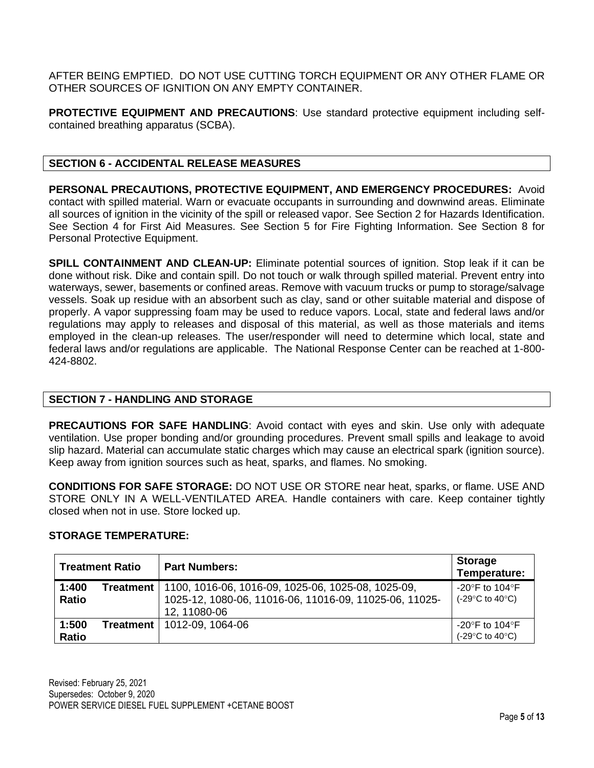AFTER BEING EMPTIED. DO NOT USE CUTTING TORCH EQUIPMENT OR ANY OTHER FLAME OR OTHER SOURCES OF IGNITION ON ANY EMPTY CONTAINER.

**PROTECTIVE EQUIPMENT AND PRECAUTIONS**: Use standard protective equipment including selfcontained breathing apparatus (SCBA).

# **SECTION 6 - ACCIDENTAL RELEASE MEASURES**

**PERSONAL PRECAUTIONS, PROTECTIVE EQUIPMENT, AND EMERGENCY PROCEDURES:** Avoid contact with spilled material. Warn or evacuate occupants in surrounding and downwind areas. Eliminate all sources of ignition in the vicinity of the spill or released vapor. See Section 2 for Hazards Identification. See Section 4 for First Aid Measures. See Section 5 for Fire Fighting Information. See Section 8 for Personal Protective Equipment.

**SPILL CONTAINMENT AND CLEAN-UP:** Eliminate potential sources of ignition. Stop leak if it can be done without risk. Dike and contain spill. Do not touch or walk through spilled material. Prevent entry into waterways, sewer, basements or confined areas. Remove with vacuum trucks or pump to storage/salvage vessels. Soak up residue with an absorbent such as clay, sand or other suitable material and dispose of properly. A vapor suppressing foam may be used to reduce vapors. Local, state and federal laws and/or regulations may apply to releases and disposal of this material, as well as those materials and items employed in the clean-up releases. The user/responder will need to determine which local, state and federal laws and/or regulations are applicable. The National Response Center can be reached at 1-800- 424-8802.

## **SECTION 7 - HANDLING AND STORAGE**

**PRECAUTIONS FOR SAFE HANDLING**: Avoid contact with eyes and skin. Use only with adequate ventilation. Use proper bonding and/or grounding procedures. Prevent small spills and leakage to avoid slip hazard. Material can accumulate static charges which may cause an electrical spark (ignition source). Keep away from ignition sources such as heat, sparks, and flames. No smoking.

**CONDITIONS FOR SAFE STORAGE:** DO NOT USE OR STORE near heat, sparks, or flame. USE AND STORE ONLY IN A WELL-VENTILATED AREA. Handle containers with care. Keep container tightly closed when not in use. Store locked up.

| <b>Treatment Ratio</b> |           | <b>Part Numbers:</b>                                                                                                         | <b>Storage</b><br>Temperature:                                                  |
|------------------------|-----------|------------------------------------------------------------------------------------------------------------------------------|---------------------------------------------------------------------------------|
| 1:400<br><b>Ratio</b>  | Treatment | 1100, 1016-06, 1016-09, 1025-06, 1025-08, 1025-09,<br>1025-12, 1080-06, 11016-06, 11016-09, 11025-06, 11025-<br>12, 11080-06 | $-20^{\circ}$ F to 104 $^{\circ}$ F<br>$(-29^{\circ}C \text{ to } 40^{\circ}C)$ |
| 1:500<br>Ratio         | Treatment | 1012-09, 1064-06                                                                                                             | -20°F to 104°F<br>$(-29^{\circ}C \text{ to } 40^{\circ}C)$                      |

## **STORAGE TEMPERATURE:**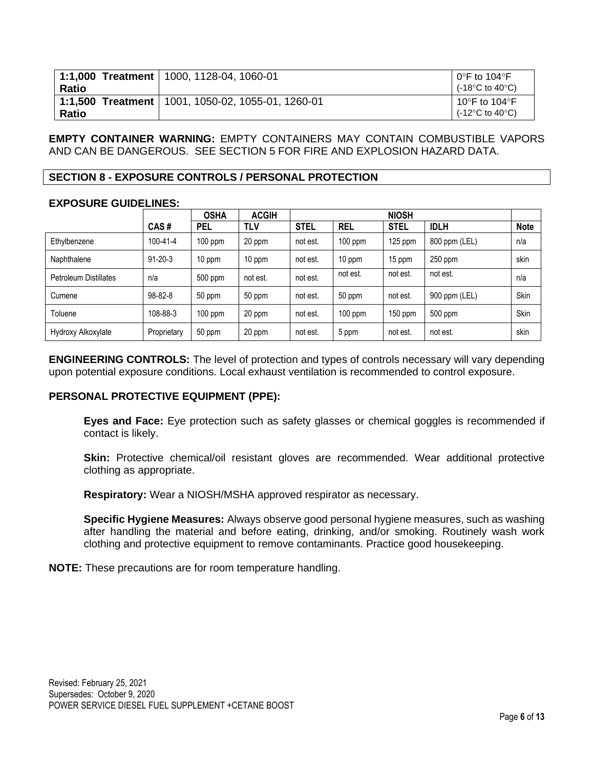|              | 1:1,000 Treatment   1000, 1128-04, 1060-01          | $0^{\circ}$ F to 104 $^{\circ}$ F                    |
|--------------|-----------------------------------------------------|------------------------------------------------------|
| Ratio        |                                                     | (-18 $\degree$ C to 40 $\degree$ C)                  |
| <b>Ratio</b> | 1:1,500 Treatment   1001, 1050-02, 1055-01, 1260-01 | 10°F to 104°F<br>(-12 $\degree$ C to 40 $\degree$ C) |

**EMPTY CONTAINER WARNING:** EMPTY CONTAINERS MAY CONTAIN COMBUSTIBLE VAPORS AND CAN BE DANGEROUS. SEE SECTION 5 FOR FIRE AND EXPLOSION HAZARD DATA.

#### **SECTION 8 - EXPOSURE CONTROLS / PERSONAL PROTECTION**

#### **EXPOSURE GUIDELINES:**

|                              |                | <b>OSHA</b> | <b>ACGIH</b> | <b>NIOSH</b> |            |             |               |             |
|------------------------------|----------------|-------------|--------------|--------------|------------|-------------|---------------|-------------|
|                              | CAS#           | <b>PEL</b>  | <b>TLV</b>   | <b>STEL</b>  | <b>REL</b> | <b>STEL</b> | <b>IDLH</b>   | <b>Note</b> |
| Ethylbenzene                 | $100 - 41 - 4$ | $100$ ppm   | 20 ppm       | not est.     | $100$ ppm  | $125$ ppm   | 800 ppm (LEL) | n/a         |
| Naphthalene                  | $91 - 20 - 3$  | 10 ppm      | 10 ppm       | not est.     | 10 ppm     | 15 ppm      | $250$ ppm     | skin        |
| <b>Petroleum Distillates</b> | n/a            | 500 ppm     | not est.     | not est.     | not est.   | not est.    | not est.      | n/a         |
| Cumene                       | $98 - 82 - 8$  | 50 ppm      | 50 ppm       | not est.     | 50 ppm     | not est.    | 900 ppm (LEL) | Skin        |
| Toluene                      | 108-88-3       | $100$ ppm   | 20 ppm       | not est.     | $100$ ppm  | $150$ ppm   | 500 ppm       | Skin        |
| Hydroxy Alkoxylate           | Proprietary    | 50 ppm      | 20 ppm       | not est.     | 5 ppm      | not est.    | not est.      | skin        |

**ENGINEERING CONTROLS:** The level of protection and types of controls necessary will vary depending upon potential exposure conditions. Local exhaust ventilation is recommended to control exposure.

## **PERSONAL PROTECTIVE EQUIPMENT (PPE):**

**Eyes and Face:** Eye protection such as safety glasses or chemical goggles is recommended if contact is likely.

**Skin:** Protective chemical/oil resistant gloves are recommended. Wear additional protective clothing as appropriate.

**Respiratory:** Wear a NIOSH/MSHA approved respirator as necessary.

**Specific Hygiene Measures:** Always observe good personal hygiene measures, such as washing after handling the material and before eating, drinking, and/or smoking. Routinely wash work clothing and protective equipment to remove contaminants. Practice good housekeeping.

**NOTE:** These precautions are for room temperature handling.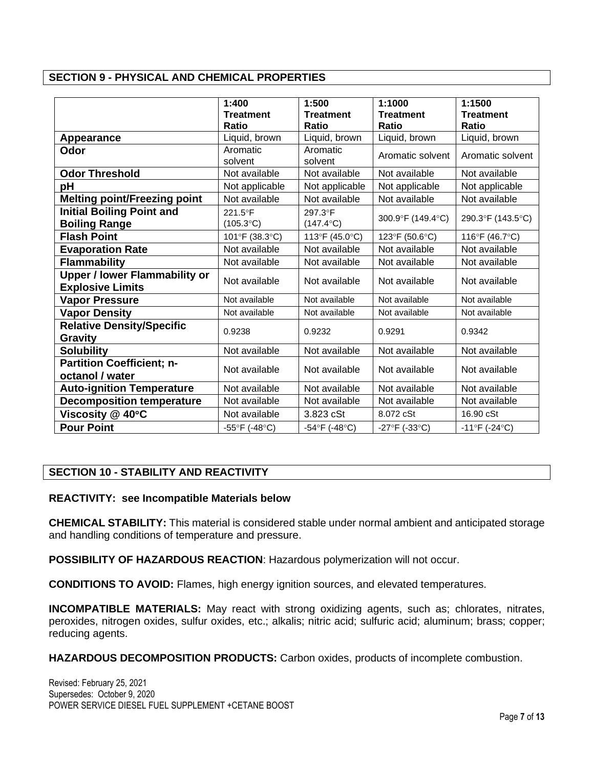# **SECTION 9 - PHYSICAL AND CHEMICAL PROPERTIES**

|                                                                 | 1:400<br><b>Treatment</b>     | 1:500<br><b>Treatment</b>     | 1:1000<br><b>Treatment</b>        | 1:1500<br><b>Treatment</b>        |
|-----------------------------------------------------------------|-------------------------------|-------------------------------|-----------------------------------|-----------------------------------|
|                                                                 | Ratio                         | <b>Ratio</b>                  | Ratio                             | <b>Ratio</b>                      |
| Appearance                                                      | Liquid, brown                 | Liquid, brown                 | Liquid, brown                     | Liquid, brown                     |
| Odor                                                            | Aromatic<br>solvent           | Aromatic<br>solvent           | Aromatic solvent                  | Aromatic solvent                  |
| <b>Odor Threshold</b>                                           | Not available                 | Not available                 | Not available                     | Not available                     |
| pH                                                              | Not applicable                | Not applicable                | Not applicable                    | Not applicable                    |
| <b>Melting point/Freezing point</b>                             | Not available                 | Not available                 | Not available                     | Not available                     |
| <b>Initial Boiling Point and</b><br><b>Boiling Range</b>        | 221.5°F<br>$(105.3^{\circ}C)$ | 297.3°F<br>$(147.4^{\circ}C)$ | 300.9°F (149.4°C)                 | 290.3°F (143.5°C)                 |
| <b>Flash Point</b>                                              | 101°F (38.3°C)                | 113°F (45.0°C)                | 123°F (50.6°C)                    | 116°F (46.7°C)                    |
| <b>Evaporation Rate</b>                                         | Not available                 | Not available                 | Not available                     | Not available                     |
| <b>Flammability</b>                                             | Not available                 | Not available                 | Not available                     | Not available                     |
| <b>Upper / lower Flammability or</b><br><b>Explosive Limits</b> | Not available                 | Not available                 | Not available                     | Not available                     |
| <b>Vapor Pressure</b>                                           | Not available                 | Not available                 | Not available                     | Not available                     |
| <b>Vapor Density</b>                                            | Not available                 | Not available                 | Not available                     | Not available                     |
| <b>Relative Density/Specific</b><br><b>Gravity</b>              | 0.9238                        | 0.9232                        | 0.9291                            | 0.9342                            |
| <b>Solubility</b>                                               | Not available                 | Not available                 | Not available                     | Not available                     |
| <b>Partition Coefficient; n-</b><br>octanol / water             | Not available                 | Not available                 | Not available                     | Not available                     |
| <b>Auto-ignition Temperature</b>                                | Not available                 | Not available                 | Not available                     | Not available                     |
| <b>Decomposition temperature</b>                                | Not available                 | Not available                 | Not available                     | Not available                     |
| Viscosity @ 40°C                                                | Not available                 | 3.823 cSt                     | 8.072 cSt                         | 16.90 cSt                         |
| <b>Pour Point</b>                                               | -55°F (-48°C)                 | $-54^{\circ}F( -48^{\circ}C)$ | $-27^{\circ}F$ (-33 $^{\circ}C$ ) | $-11^{\circ}F$ (-24 $^{\circ}C$ ) |

## **SECTION 10 - STABILITY AND REACTIVITY**

#### **REACTIVITY: see Incompatible Materials below**

**CHEMICAL STABILITY:** This material is considered stable under normal ambient and anticipated storage and handling conditions of temperature and pressure.

**POSSIBILITY OF HAZARDOUS REACTION**: Hazardous polymerization will not occur.

**CONDITIONS TO AVOID:** Flames, high energy ignition sources, and elevated temperatures.

**INCOMPATIBLE MATERIALS:** May react with strong oxidizing agents, such as; chlorates, nitrates, peroxides, nitrogen oxides, sulfur oxides, etc.; alkalis; nitric acid; sulfuric acid; aluminum; brass; copper; reducing agents.

**HAZARDOUS DECOMPOSITION PRODUCTS:** Carbon oxides, products of incomplete combustion.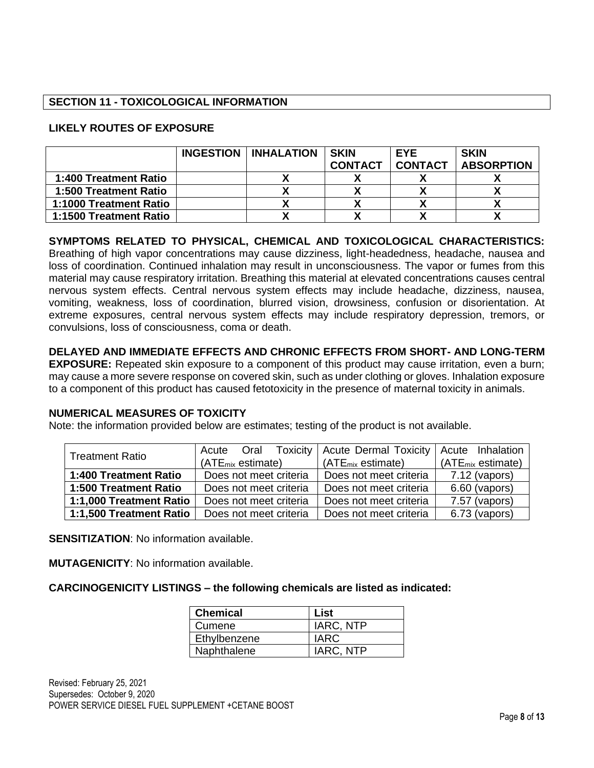## **SECTION 11 - TOXICOLOGICAL INFORMATION**

# **LIKELY ROUTES OF EXPOSURE**

|                        | INGESTION   INHALATION | <b>SKIN</b>    | <b>EYE</b>     | <b>SKIN</b>       |
|------------------------|------------------------|----------------|----------------|-------------------|
|                        |                        | <b>CONTACT</b> | <b>CONTACT</b> | <b>ABSORPTION</b> |
| 1:400 Treatment Ratio  |                        |                |                |                   |
| 1:500 Treatment Ratio  |                        |                |                |                   |
| 1:1000 Treatment Ratio |                        |                |                |                   |
| 1:1500 Treatment Ratio |                        |                |                |                   |

**SYMPTOMS RELATED TO PHYSICAL, CHEMICAL AND TOXICOLOGICAL CHARACTERISTICS:**  Breathing of high vapor concentrations may cause dizziness, light-headedness, headache, nausea and loss of coordination. Continued inhalation may result in unconsciousness. The vapor or fumes from this material may cause respiratory irritation. Breathing this material at elevated concentrations causes central nervous system effects. Central nervous system effects may include headache, dizziness, nausea, vomiting, weakness, loss of coordination, blurred vision, drowsiness, confusion or disorientation. At extreme exposures, central nervous system effects may include respiratory depression, tremors, or convulsions, loss of consciousness, coma or death.

**DELAYED AND IMMEDIATE EFFECTS AND CHRONIC EFFECTS FROM SHORT- AND LONG-TERM EXPOSURE:** Repeated skin exposure to a component of this product may cause irritation, even a burn; may cause a more severe response on covered skin, such as under clothing or gloves. Inhalation exposure to a component of this product has caused fetotoxicity in the presence of maternal toxicity in animals.

## **NUMERICAL MEASURES OF TOXICITY**

Note: the information provided below are estimates; testing of the product is not available.

| <b>Treatment Ratio</b>  | Oral<br>Acute                 | Toxicity   Acute Dermal Toxicity   Acute Inhalation |                        |
|-------------------------|-------------------------------|-----------------------------------------------------|------------------------|
|                         | (ATE <sub>mix</sub> estimate) | $(ATE_{mix}$ estimate)                              | $(ATE_{mix}$ estimate) |
| 1:400 Treatment Ratio   | Does not meet criteria        | Does not meet criteria                              | $7.12$ (vapors)        |
| 1:500 Treatment Ratio   | Does not meet criteria        | Does not meet criteria                              | $6.60$ (vapors)        |
| 1:1,000 Treatment Ratio | Does not meet criteria        | Does not meet criteria                              | 7.57 (vapors)          |
| 1:1,500 Treatment Ratio | Does not meet criteria        | Does not meet criteria                              | 6.73 (vapors)          |

**SENSITIZATION:** No information available.

**MUTAGENICITY**: No information available.

**CARCINOGENICITY LISTINGS – the following chemicals are listed as indicated:**

| <b>Chemical</b> | List      |
|-----------------|-----------|
| Cumene          | IARC, NTP |
| Ethylbenzene    | IARC      |
| Naphthalene     | IARC, NTP |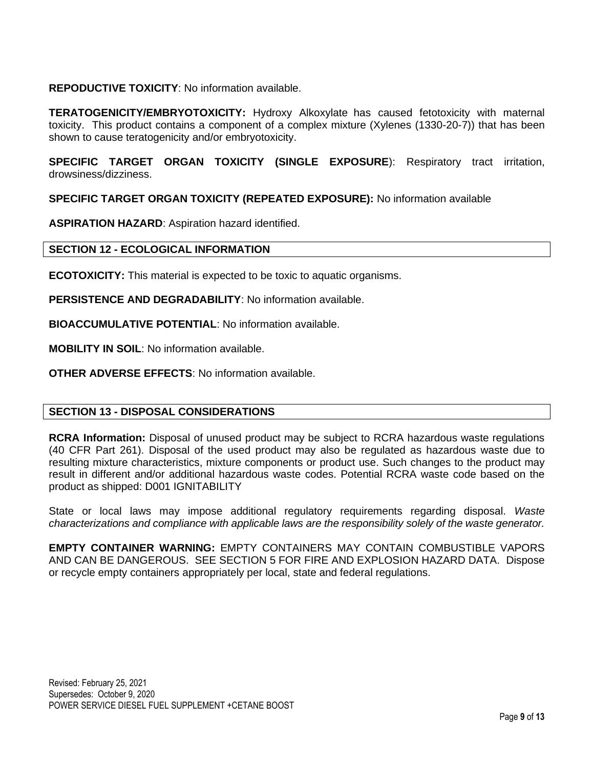## **REPODUCTIVE TOXICITY**: No information available.

**TERATOGENICITY/EMBRYOTOXICITY:** Hydroxy Alkoxylate has caused fetotoxicity with maternal toxicity. This product contains a component of a complex mixture (Xylenes (1330-20-7)) that has been shown to cause teratogenicity and/or embryotoxicity.

**SPECIFIC TARGET ORGAN TOXICITY (SINGLE EXPOSURE**): Respiratory tract irritation, drowsiness/dizziness.

**SPECIFIC TARGET ORGAN TOXICITY (REPEATED EXPOSURE):** No information available

**ASPIRATION HAZARD**: Aspiration hazard identified.

## **SECTION 12 - ECOLOGICAL INFORMATION**

**ECOTOXICITY:** This material is expected to be toxic to aquatic organisms.

**PERSISTENCE AND DEGRADABILITY**: No information available.

**BIOACCUMULATIVE POTENTIAL**: No information available.

**MOBILITY IN SOIL**: No information available.

**OTHER ADVERSE EFFECTS**: No information available.

## **SECTION 13 - DISPOSAL CONSIDERATIONS**

**RCRA Information:** Disposal of unused product may be subject to RCRA hazardous waste regulations (40 CFR Part 261). Disposal of the used product may also be regulated as hazardous waste due to resulting mixture characteristics, mixture components or product use. Such changes to the product may result in different and/or additional hazardous waste codes. Potential RCRA waste code based on the product as shipped: D001 IGNITABILITY

State or local laws may impose additional regulatory requirements regarding disposal. *Waste characterizations and compliance with applicable laws are the responsibility solely of the waste generator.*

**EMPTY CONTAINER WARNING:** EMPTY CONTAINERS MAY CONTAIN COMBUSTIBLE VAPORS AND CAN BE DANGEROUS. SEE SECTION 5 FOR FIRE AND EXPLOSION HAZARD DATA. Dispose or recycle empty containers appropriately per local, state and federal regulations.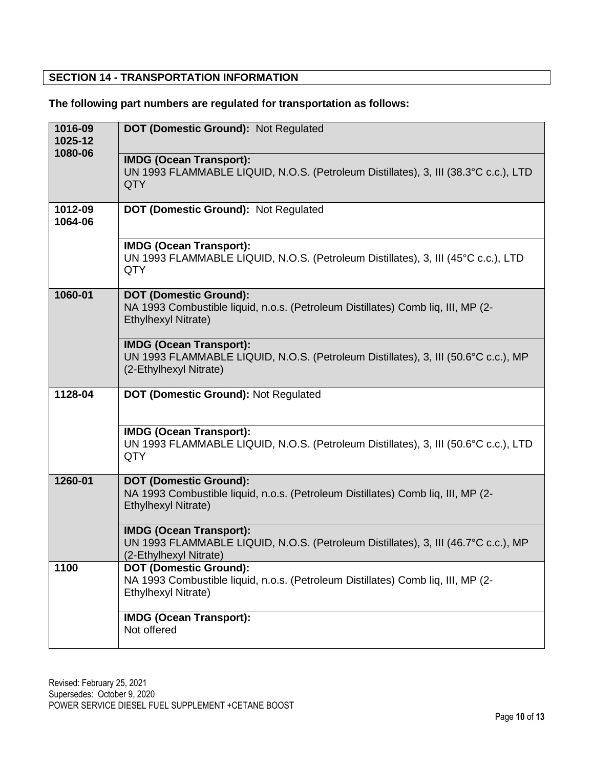# **SECTION 14 - TRANSPORTATION INFORMATION**

# **The following part numbers are regulated for transportation as follows:**

| 1016-09<br>1025-12 | DOT (Domestic Ground): Not Regulated                                                                                                           |  |  |  |  |
|--------------------|------------------------------------------------------------------------------------------------------------------------------------------------|--|--|--|--|
| 1080-06            | <b>IMDG (Ocean Transport):</b><br>UN 1993 FLAMMABLE LIQUID, N.O.S. (Petroleum Distillates), 3, III (38.3°C c.c.), LTD<br>QTY                   |  |  |  |  |
| 1012-09<br>1064-06 | DOT (Domestic Ground): Not Regulated                                                                                                           |  |  |  |  |
|                    | <b>IMDG (Ocean Transport):</b><br>UN 1993 FLAMMABLE LIQUID, N.O.S. (Petroleum Distillates), 3, III (45°C c.c.), LTD<br><b>QTY</b>              |  |  |  |  |
| 1060-01            | <b>DOT (Domestic Ground):</b><br>NA 1993 Combustible liquid, n.o.s. (Petroleum Distillates) Comb liq, III, MP (2-<br>Ethylhexyl Nitrate)       |  |  |  |  |
|                    | <b>IMDG (Ocean Transport):</b><br>UN 1993 FLAMMABLE LIQUID, N.O.S. (Petroleum Distillates), 3, III (50.6°C c.c.), MP<br>(2-Ethylhexyl Nitrate) |  |  |  |  |
| 1128-04            | DOT (Domestic Ground): Not Regulated                                                                                                           |  |  |  |  |
|                    | <b>IMDG (Ocean Transport):</b><br>UN 1993 FLAMMABLE LIQUID, N.O.S. (Petroleum Distillates), 3, III (50.6°C c.c.), LTD<br><b>QTY</b>            |  |  |  |  |
| 1260-01            | <b>DOT (Domestic Ground):</b><br>NA 1993 Combustible liquid, n.o.s. (Petroleum Distillates) Comb liq, III, MP (2-<br>Ethylhexyl Nitrate)       |  |  |  |  |
|                    | <b>IMDG (Ocean Transport):</b><br>UN 1993 FLAMMABLE LIQUID, N.O.S. (Petroleum Distillates), 3, III (46.7°C c.c.), MP<br>(2-Ethylhexyl Nitrate) |  |  |  |  |
| 1100               | <b>DOT (Domestic Ground):</b><br>NA 1993 Combustible liquid, n.o.s. (Petroleum Distillates) Comb liq, III, MP (2-<br>Ethylhexyl Nitrate)       |  |  |  |  |
|                    | <b>IMDG (Ocean Transport):</b><br>Not offered                                                                                                  |  |  |  |  |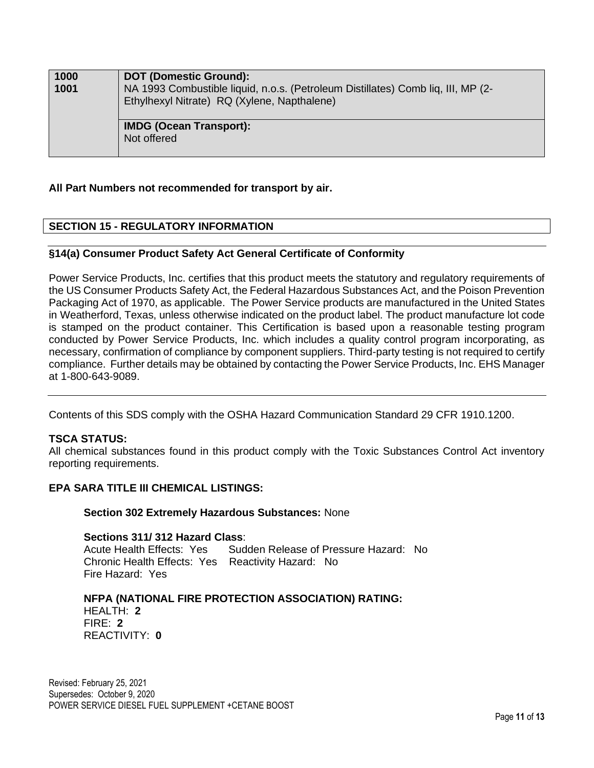| 1000<br>1001 | <b>DOT (Domestic Ground):</b><br>NA 1993 Combustible liquid, n.o.s. (Petroleum Distillates) Comb liq, III, MP (2-<br>Ethylhexyl Nitrate) RQ (Xylene, Napthalene) |
|--------------|------------------------------------------------------------------------------------------------------------------------------------------------------------------|
|              | <b>IMDG (Ocean Transport):</b><br>Not offered                                                                                                                    |

#### **All Part Numbers not recommended for transport by air.**

# **SECTION 15 - REGULATORY INFORMATION**

#### **§14(a) Consumer Product Safety Act General Certificate of Conformity**

Power Service Products, Inc. certifies that this product meets the statutory and regulatory requirements of the US Consumer Products Safety Act, the Federal Hazardous Substances Act, and the Poison Prevention Packaging Act of 1970, as applicable. The Power Service products are manufactured in the United States in Weatherford, Texas, unless otherwise indicated on the product label. The product manufacture lot code is stamped on the product container. This Certification is based upon a reasonable testing program conducted by Power Service Products, Inc. which includes a quality control program incorporating, as necessary, confirmation of compliance by component suppliers. Third-party testing is not required to certify compliance. Further details may be obtained by contacting the Power Service Products, Inc. EHS Manager at 1-800-643-9089.

Contents of this SDS comply with the OSHA Hazard Communication Standard 29 CFR 1910.1200.

#### **TSCA STATUS:**

All chemical substances found in this product comply with the Toxic Substances Control Act inventory reporting requirements.

#### **EPA SARA TITLE III CHEMICAL LISTINGS:**

**Section 302 Extremely Hazardous Substances:** None

#### **Sections 311/ 312 Hazard Class**:

Acute Health Effects: Yes Sudden Release of Pressure Hazard: No Chronic Health Effects: Yes Reactivity Hazard: No Fire Hazard: Yes

#### **NFPA (NATIONAL FIRE PROTECTION ASSOCIATION) RATING:**

HEALTH: **2** FIRE: **2** REACTIVITY: **0** 

Revised: February 25, 2021 Supersedes: October 9, 2020 POWER SERVICE DIESEL FUEL SUPPLEMENT +CETANE BOOST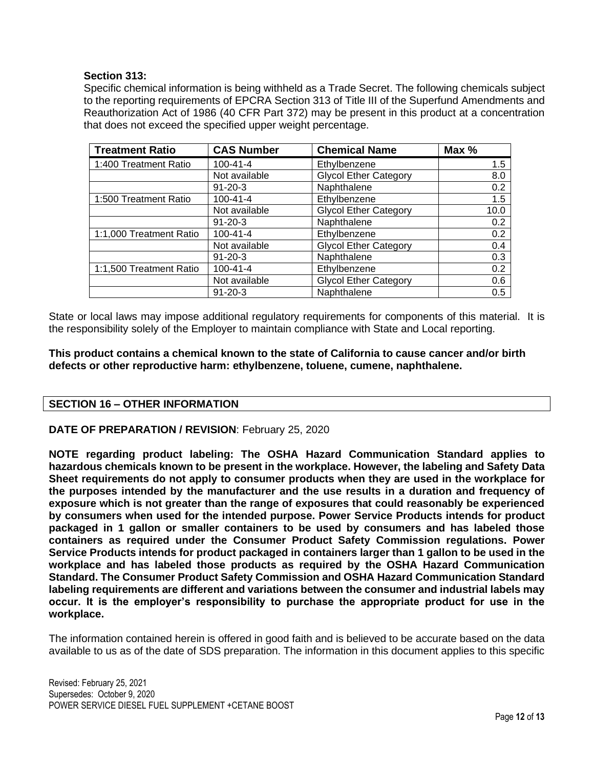#### **Section 313:**

Specific chemical information is being withheld as a Trade Secret. The following chemicals subject to the reporting requirements of EPCRA Section 313 of Title III of the Superfund Amendments and Reauthorization Act of 1986 (40 CFR Part 372) may be present in this product at a concentration that does not exceed the specified upper weight percentage.

| <b>Treatment Ratio</b>  | <b>CAS Number</b> | <b>Chemical Name</b>         | Max % |
|-------------------------|-------------------|------------------------------|-------|
| 1:400 Treatment Ratio   | $100 - 41 - 4$    | Ethylbenzene                 | 1.5   |
|                         | Not available     | <b>Glycol Ether Category</b> | 8.0   |
|                         | $91 - 20 - 3$     | Naphthalene                  | 0.2   |
| 1:500 Treatment Ratio   | $100 - 41 - 4$    | Ethylbenzene                 | 1.5   |
|                         | Not available     | <b>Glycol Ether Category</b> | 10.0  |
|                         | $91 - 20 - 3$     | Naphthalene                  | 0.2   |
| 1:1,000 Treatment Ratio | $100 - 41 - 4$    | Ethylbenzene                 | 0.2   |
|                         | Not available     | <b>Glycol Ether Category</b> | 0.4   |
|                         | $91 - 20 - 3$     | Naphthalene                  | 0.3   |
| 1:1,500 Treatment Ratio | $100 - 41 - 4$    | Ethylbenzene                 | 0.2   |
|                         | Not available     | <b>Glycol Ether Category</b> | 0.6   |
|                         | $91 - 20 - 3$     | Naphthalene                  | 0.5   |

State or local laws may impose additional regulatory requirements for components of this material. It is the responsibility solely of the Employer to maintain compliance with State and Local reporting.

**This product contains a chemical known to the state of California to cause cancer and/or birth defects or other reproductive harm: ethylbenzene, toluene, cumene, naphthalene.**

## **SECTION 16 – OTHER INFORMATION**

#### **DATE OF PREPARATION / REVISION**: February 25, 2020

**NOTE regarding product labeling: The OSHA Hazard Communication Standard applies to hazardous chemicals known to be present in the workplace. However, the labeling and Safety Data Sheet requirements do not apply to consumer products when they are used in the workplace for the purposes intended by the manufacturer and the use results in a duration and frequency of exposure which is not greater than the range of exposures that could reasonably be experienced by consumers when used for the intended purpose. Power Service Products intends for product packaged in 1 gallon or smaller containers to be used by consumers and has labeled those containers as required under the Consumer Product Safety Commission regulations. Power Service Products intends for product packaged in containers larger than 1 gallon to be used in the workplace and has labeled those products as required by the OSHA Hazard Communication Standard. The Consumer Product Safety Commission and OSHA Hazard Communication Standard labeling requirements are different and variations between the consumer and industrial labels may occur. It is the employer's responsibility to purchase the appropriate product for use in the workplace.**

The information contained herein is offered in good faith and is believed to be accurate based on the data available to us as of the date of SDS preparation. The information in this document applies to this specific